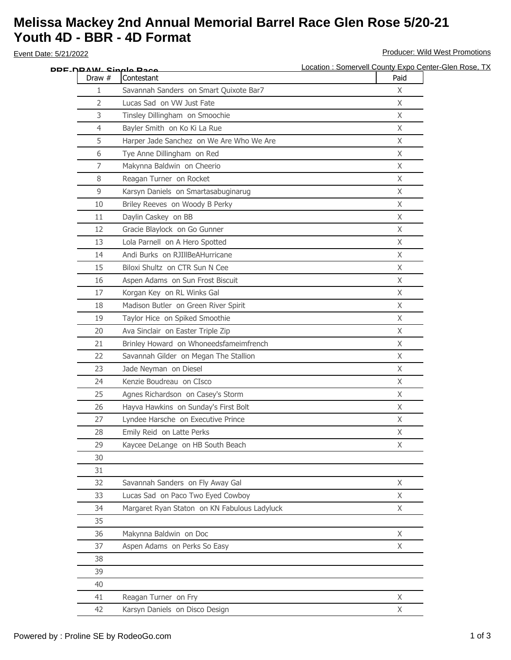## **Melissa Mackey 2nd Annual Memorial Barrel Race Glen Rose 5/20-21 Youth 4D - BBR - 4D Format**

Event Date: 5/21/2022 **Producer: Wild West Promotions** 

|                | DDF NRAW Single Race                         | Location : Somervell County Expo Center-Glen Rose, TX |
|----------------|----------------------------------------------|-------------------------------------------------------|
| Draw #         | Contestant                                   | Paid                                                  |
| 1              | Savannah Sanders on Smart Quixote Bar7       | X                                                     |
| $\overline{2}$ | Lucas Sad on VW Just Fate                    | $\mathsf{X}$                                          |
| 3              | Tinsley Dillingham on Smoochie               | X                                                     |
| 4              | Bayler Smith on Ko Ki La Rue                 | X                                                     |
| 5              | Harper Jade Sanchez on We Are Who We Are     | X                                                     |
| 6              | Tye Anne Dillingham on Red                   | X                                                     |
| 7              | Makynna Baldwin on Cheerio                   | X                                                     |
| 8              | Reagan Turner on Rocket                      | $\mathsf{X}$                                          |
| 9              | Karsyn Daniels on Smartasabuginarug          | $\mathsf{X}$                                          |
| 10             | Briley Reeves on Woody B Perky               | $\mathsf{X}$                                          |
| 11             | Daylin Caskey on BB                          | X                                                     |
| 12             | Gracie Blaylock on Go Gunner                 | X                                                     |
| 13             | Lola Parnell on A Hero Spotted               | X                                                     |
| 14             | Andi Burks on RJIllBeAHurricane              | X                                                     |
| 15             | Biloxi Shultz on CTR Sun N Cee               | $\mathsf{X}$                                          |
| 16             | Aspen Adams on Sun Frost Biscuit             | X                                                     |
| 17             | Korgan Key on RL Winks Gal                   | $\mathsf{X}$                                          |
| 18             | Madison Butler on Green River Spirit         | X                                                     |
| 19             | Taylor Hice on Spiked Smoothie               | X                                                     |
| 20             | Ava Sinclair on Easter Triple Zip            | X                                                     |
| 21             | Brinley Howard on Whoneedsfameimfrench       | $\chi$                                                |
| 22             | Savannah Gilder on Megan The Stallion        | X                                                     |
| 23             | Jade Neyman on Diesel                        | $\mathsf{X}$                                          |
| 24             | Kenzie Boudreau on CIsco                     | $\mathsf{X}$                                          |
| 25             | Agnes Richardson on Casey's Storm            | X                                                     |
| 26             | Hayva Hawkins on Sunday's First Bolt         | $\mathsf{X}$                                          |
| 27             | Lyndee Harsche on Executive Prince           | X                                                     |
| 28             | Emily Reid on Latte Perks                    | X                                                     |
| 29             | Kaycee DeLange on HB South Beach             | X                                                     |
| 30             |                                              |                                                       |
| 31             |                                              |                                                       |
| 32             | Savannah Sanders on Fly Away Gal             | $\mathsf{X}$                                          |
| 33             | Lucas Sad on Paco Two Eyed Cowboy            | X                                                     |
| 34             | Margaret Ryan Staton on KN Fabulous Ladyluck | $\chi$                                                |
| 35             |                                              |                                                       |
| 36             | Makynna Baldwin on Doc                       | X                                                     |
| 37             | Aspen Adams on Perks So Easy                 | X                                                     |
| 38             |                                              |                                                       |
| 39             |                                              |                                                       |
| 40             |                                              |                                                       |
| 41             | Reagan Turner on Fry                         | X                                                     |
| 42             | Karsyn Daniels on Disco Design               | X                                                     |
|                |                                              |                                                       |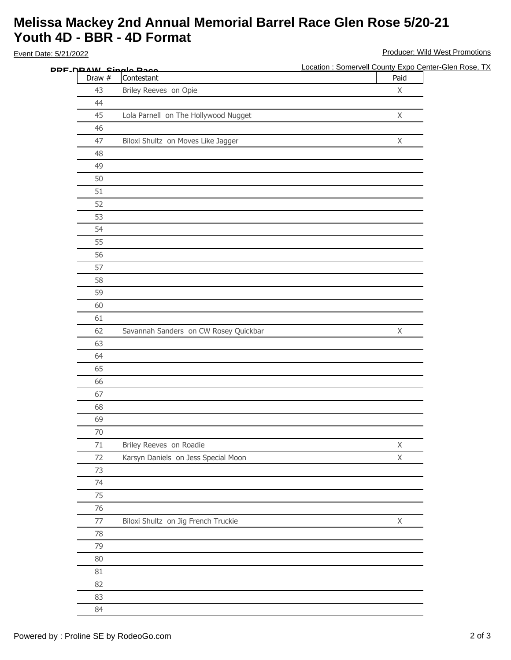## **Melissa Mackey 2nd Annual Memorial Barrel Race Glen Rose 5/20-21 Youth 4D - BBR - 4D Format**

Draw # Contestant Paid Briley Reeves on Opie X Lola Parnell on The Hollywood Nugget X Biloxi Shultz on Moves Like Jagger X Savannah Sanders on CW Rosey Quickbar X 71 Briley Reeves on Roadie XX Karsyn Daniels on Jess Special Moon X Biloxi Shultz on Jig French Truckie X Event Date: 5/21/2022 **Producer: Wild West Promotions** Location : Somervell County Expo Center-Glen Rose, TX **PRE-DRAW- Single Race**